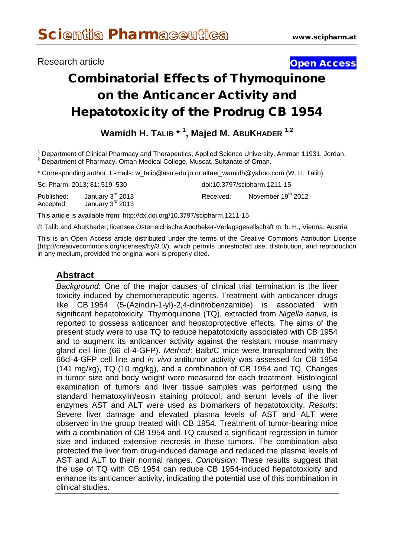## **Research article Contract Contract Contract Contract Contract Contract Contract Contract Contract Contract Contract Contract Contract Contract Contract Contract Contract Contract Contract Contract Contract Contract Contra**

# Combinatorial Effects of Thymoquinone on the Anticancer Activity and Hepatotoxicity of the Prodrug CB 1954

**Wamidh H. TALIB \* <sup>1</sup> , Majed M. ABUKHADER 1,2**

<sup>1</sup> Department of Clinical Pharmacy and Therapeutics, Applied Science University, Amman 11931, Jordan. <sup>2</sup> Department of Pharmacy, Oman Medical College, Muscat, Sultanate of Oman.

\* Corresponding author. E-mails: [w\\_talib@asu.edu.jo](mailto:w_talib@asu.edu.jo) or [altaei\\_wamidh@yahoo.com](mailto:altaei_wamidh@yahoo.com) (W. H. Talib)

|                         | Sci Pharm. 2013; 81: 519–530                       |           | doi:10.3797/scipharm.1211-15 |
|-------------------------|----------------------------------------------------|-----------|------------------------------|
| Published:<br>Accepted: | January 3 <sup>rd</sup> 2013<br>January $3rd$ 2013 | Received: | November 19th 2012           |
| ---                     |                                                    |           |                              |

This article is available from: http://dx.doi.org/10.3797/scipharm.1211-15

© Talib and AbuKhader; licensee Österreichische Apotheker-Verlagsgesellschaft m. b. H., Vienna, Austria.

This is an Open Access article distributed under the terms of the Creative Commons Attribution License [\(http://creativecommons.org/licenses/by/3.0/\)](http://creativecommons.org/licenses/by/3.0/), which permits unrestricted use, distribution, and reproduction in any medium, provided the original work is properly cited.

# **Abstract**

*Background*: One of the major causes of clinical trial termination is the liver toxicity induced by chemotherapeutic agents. Treatment with anticancer drugs like CB 1954 (5-(Aziridin-1-yl)-2,4-dinitrobenzamide) is associated with significant hepatotoxicity. Thymoquinone (TQ), extracted from *Nigella sativa,* is reported to possess anticancer and hepatoprotective effects. The aims of the present study were to use TQ to reduce hepatotoxicity associated with CB 1954 and to augment its anticancer activity against the resistant mouse mammary gland cell line (66 cl-4-GFP). *Method*: Balb/C mice were transplanted with the 66cl-4-GFP cell line and *in vivo* antitumor activity was assessed for CB 1954 (141 mg/kg), TQ (10 mg/kg), and a combination of CB 1954 and TQ. Changes in tumor size and body weight were measured for each treatment. Histological examination of tumors and liver tissue samples was performed using the standard hematoxylin/eosin staining protocol, and serum levels of the liver enzymes AST and ALT were used as biomarkers of hepatotoxicity. *Results*: Severe liver damage and elevated plasma levels of AST and ALT were observed in the group treated with CB 1954. Treatment of tumor-bearing mice with a combination of CB 1954 and TQ caused a significant regression in tumor size and induced extensive necrosis in these tumors. The combination also protected the liver from drug-induced damage and reduced the plasma levels of AST and ALT to their normal ranges. *Conclusion*: These results suggest that the use of TQ with CB 1954 can reduce CB 1954-induced hepatotoxicity and enhance its anticancer activity, indicating the potential use of this combination in clinical studies.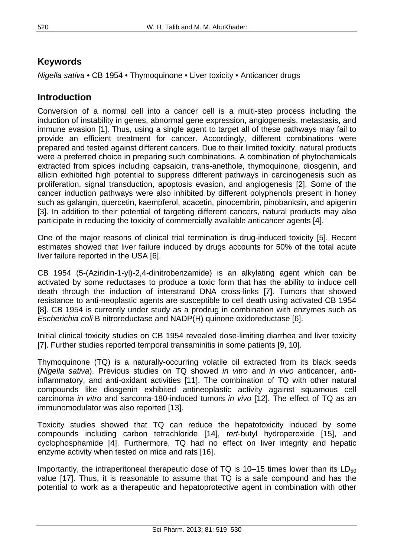# **Keywords**

*Nigella sativa* • CB 1954 • Thymoquinone • Liver toxicity • Anticancer drugs

# **Introduction**

Conversion of a normal cell into a cancer cell is a multi-step process including the induction of instability in genes, abnormal gene expression, angiogenesis, metastasis, and immune evasion [1]. Thus, using a single agent to target all of these pathways may fail to provide an efficient treatment for cancer. Accordingly, different combinations were prepared and tested against different cancers. Due to their limited toxicity, natural products were a preferred choice in preparing such combinations. A combination of phytochemicals extracted from spices including capsaicin, trans-anethole, thymoquinone, diosgenin, and allicin exhibited high potential to suppress different pathways in carcinogenesis such as proliferation, signal transduction, apoptosis evasion, and angiogenesis [2]. Some of the cancer induction pathways were also inhibited by different polyphenols present in honey such as galangin, quercetin, kaempferol, acacetin, pinocembrin, pinobanksin, and apigenin [3]. In addition to their potential of targeting different cancers, natural products may also participate in reducing the toxicity of commercially available anticancer agents [4].

One of the major reasons of clinical trial termination is drug-induced toxicity [5]. Recent estimates showed that liver failure induced by drugs accounts for 50% of the total acute liver failure reported in the USA [6].

CB 1954 (5-(Aziridin-1-yl)-2,4-dinitrobenzamide) is an alkylating agent which can be activated by some reductases to produce a toxic form that has the ability to induce cell death through the induction of interstrand DNA cross-links [7]. Tumors that showed resistance to anti-neoplastic agents are susceptible to cell death using activated CB 1954 [8]. CB 1954 is currently under study as a prodrug in combination with enzymes such as *Escherichia coli* B nitroreductase and NADP(H) quinone oxidoreductase [6].

Initial clinical toxicity studies on CB 1954 revealed dose-limiting diarrhea and liver toxicity [7]. Further studies reported temporal transaminitis in some patients [9, 10].

Thymoquinone (TQ) is a naturally-occurring volatile oil extracted from its black seeds (*Nigella sativa*). Previous studies on TQ showed *in vitro* and *in vivo* anticancer, antiinflammatory, and anti-oxidant activities [11]. The combination of TQ with other natural compounds like diosgenin exhibited antineoplastic activity against squamous cell carcinoma *in vitro* and sarcoma-180-induced tumors *in vivo* [12]. The effect of TQ as an immunomodulator was also reported [13].

Toxicity studies showed that TQ can reduce the hepatotoxicity induced by some compounds including carbon tetrachloride [14], *tert*-butyl hydroperoxide [15], and cyclophosphamide [4]. Furthermore, TQ had no effect on liver integrity and hepatic enzyme activity when tested on mice and rats [16].

Importantly, the intraperitoneal therapeutic dose of TQ is 10–15 times lower than its  $LD_{50}$ value [17]. Thus, it is reasonable to assume that TQ is a safe compound and has the potential to work as a therapeutic and hepatoprotective agent in combination with other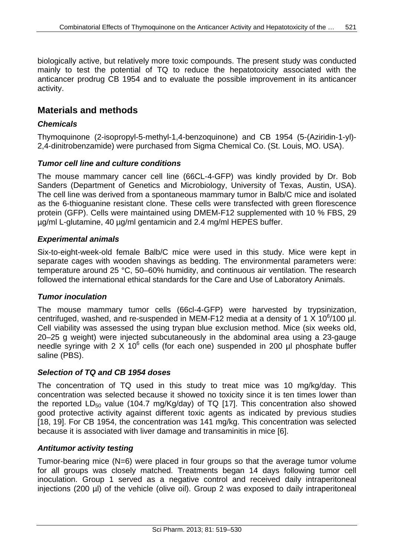biologically active, but relatively more toxic compounds. The present study was conducted mainly to test the potential of TQ to reduce the hepatotoxicity associated with the anticancer prodrug CB 1954 and to evaluate the possible improvement in its anticancer activity.

## **Materials and methods**

### *Chemicals*

Thymoquinone (2-isopropyl-5-methyl-1,4-benzoquinone) and CB 1954 (5-(Aziridin-1-yl)- 2,4-dinitrobenzamide) were purchased from Sigma Chemical Co. (St. Louis, MO. USA).

#### *Tumor cell line and culture conditions*

The mouse mammary cancer cell line (66CL-4-GFP) was kindly provided by Dr. Bob Sanders (Department of Genetics and Microbiology, University of Texas, Austin, USA). The cell line was derived from a spontaneous mammary tumor in Balb/C mice and isolated as the 6-thioguanine resistant clone. These cells were transfected with green florescence protein (GFP). Cells were maintained using DMEM-F12 supplemented with 10 % FBS, 29 µg/ml L-glutamine, 40 µg/ml gentamicin and 2.4 mg/ml HEPES buffer.

#### *Experimental animals*

Six-to-eight-week-old female Balb/C mice were used in this study. Mice were kept in separate cages with wooden shavings as bedding. The environmental parameters were: temperature around 25 °C, 50–60% humidity, and continuous air ventilation. The research followed the international ethical standards for the Care and Use of Laboratory Animals.

#### *Tumor inoculation*

The mouse mammary tumor cells (66cl-4-GFP) were harvested by trypsinization, centrifuged, washed, and re-suspended in MEM-F12 media at a density of 1 X 10<sup>6</sup>/100 µl. Cell viability was assessed the using trypan blue exclusion method. Mice (six weeks old, 20–25 g weight) were injected subcutaneously in the abdominal area using a 23-gauge needle syringe with 2  $\times$  10<sup>6</sup> cells (for each one) suspended in 200 µl phosphate buffer saline (PBS).

#### *Selection of TQ and CB 1954 doses*

The concentration of TQ used in this study to treat mice was 10 mg/kg/day. This concentration was selected because it showed no toxicity since it is ten times lower than the reported  $LD_{50}$  value (104.7 mg/Kg/day) of TQ [17]. This concentration also showed good protective activity against different toxic agents as indicated by previous studies [18, 19]. For CB 1954, the concentration was 141 mg/kg. This concentration was selected because it is associated with liver damage and transaminitis in mice [6].

#### *Antitumor activity testing*

Tumor-bearing mice (N=6) were placed in four groups so that the average tumor volume for all groups was closely matched. Treatments began 14 days following tumor cell inoculation. Group 1 served as a negative control and received daily intraperitoneal injections (200 µl) of the vehicle (olive oil). Group 2 was exposed to daily intraperitoneal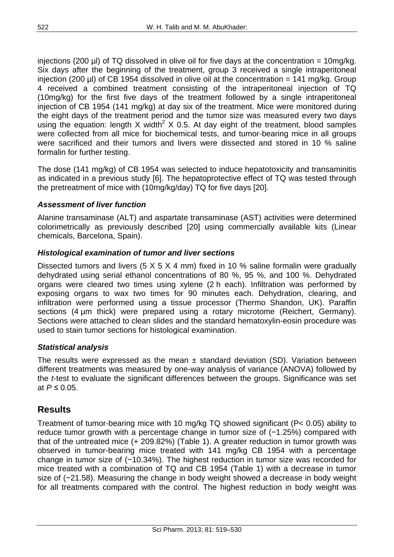injections (200  $\mu$ I) of TQ dissolved in olive oil for five days at the concentration = 10mg/kg. Six days after the beginning of the treatment, group 3 received a single intraperitoneal injection (200  $\mu$ I) of CB 1954 dissolved in olive oil at the concentration = 141 mg/kg. Group 4 received a combined treatment consisting of the intraperitoneal injection of TQ (10mg/kg) for the first five days of the treatment followed by a single intraperitoneal injection of CB 1954 (141 mg/kg) at day six of the treatment. Mice were monitored during the eight days of the treatment period and the tumor size was measured every two days using the equation: length X width<sup>2</sup> X 0.5. At day eight of the treatment, blood samples were collected from all mice for biochemical tests, and tumor-bearing mice in all groups were sacrificed and their tumors and livers were dissected and stored in 10 % saline formalin for further testing.

The dose (141 mg/kg) of CB 1954 was selected to induce hepatotoxicity and transaminitis as indicated in a previous study [6]. The hepatoprotective effect of TQ was tested through the pretreatment of mice with (10mg/kg/day) TQ for five days [20].

## *Assessment of liver function*

Alanine transaminase (ALT) and aspartate transaminase (AST) activities were determined colorimetrically as previously described [20] using commercially available kits (Linear chemicals, Barcelona, Spain).

## *Histological examination of tumor and liver sections*

Dissected tumors and livers  $(5 \times 5 \times 4 \text{ mm})$  fixed in 10 % saline formalin were gradually dehydrated using serial ethanol concentrations of 80 %, 95 %, and 100 %. Dehydrated organs were cleared two times using xylene (2 h each). Infiltration was performed by exposing organs to wax two times for 90 minutes each. Dehydration, clearing, and infiltration were performed using a tissue processor (Thermo Shandon, UK). Paraffin sections (4 µm thick) were prepared using a rotary microtome (Reichert, Germany). Sections were attached to clean slides and the standard hematoxylin-eosin procedure was used to stain tumor sections for histological examination.

## *Statistical analysis*

The results were expressed as the mean  $\pm$  standard deviation (SD). Variation between different treatments was measured by one-way analysis of variance (ANOVA) followed by the *t*-test to evaluate the significant differences between the groups. Significance was set at *.* 

# **Results**

Treatment of tumor-bearing mice with 10 mg/kg TQ showed significant (P< 0.05) ability to reduce tumor growth with a percentage change in tumor size of (−1.25%) compared with that of the untreated mice (+ 209.82%) (Table 1). A greater reduction in tumor growth was observed in tumor-bearing mice treated with 141 mg/kg CB 1954 with a percentage change in tumor size of (−10.34%). The highest reduction in tumor size was recorded for mice treated with a combination of TQ and CB 1954 (Table 1) with a decrease in tumor size of (−21.58). Measuring the change in body weight showed a decrease in body weight for all treatments compared with the control. The highest reduction in body weight was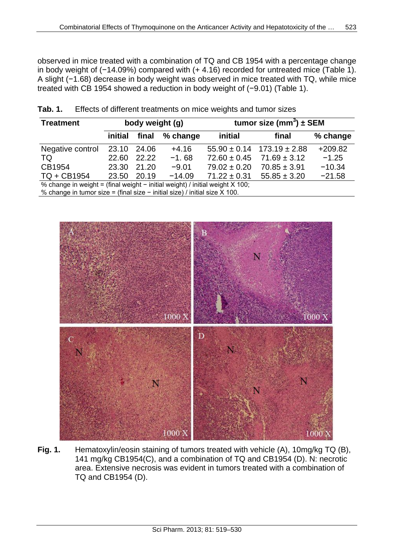observed in mice treated with a combination of TQ and CB 1954 with a percentage change in body weight of (−14.09%) compared with (+ 4.16) recorded for untreated mice (Table 1). A slight (−1.68) decrease in body weight was observed in mice treated with TQ, while mice treated with CB 1954 showed a reduction in body weight of (−9.01) (Table 1).

| <b>Treatment</b>                                                             | body weight (g) |       | tumor size (mm <sup>3</sup> ) $\pm$ SEM |                  |                                    |           |
|------------------------------------------------------------------------------|-----------------|-------|-----------------------------------------|------------------|------------------------------------|-----------|
|                                                                              | initial         |       | final % change                          | initial          | final                              | % change  |
| Negative control                                                             | 23.10           | 24.06 | $+4.16$                                 |                  | $55.90 \pm 0.14$ 173.19 $\pm 2.88$ | $+209.82$ |
| TQ                                                                           | 22.60           | 22.22 | $-1.68$                                 | $72.60 \pm 0.45$ | $71.69 \pm 3.12$                   | $-1.25$   |
| CB1954                                                                       | 23.30           | 21.20 | $-9.01$                                 | $79.02 \pm 0.20$ | $70.85 \pm 3.91$                   | $-10.34$  |
| TQ + CB1954                                                                  | 23.50           | 20.19 | $-14.09$                                | $71.22 \pm 0.31$ | $55.85 \pm 3.20$                   | $-21.58$  |
| % change in weight = (final weight - initial weight) / initial weight X 100; |                 |       |                                         |                  |                                    |           |
| % change in tumor size = (final size - initial size) / initial size $X$ 100. |                 |       |                                         |                  |                                    |           |

| Tab. 1. | Effects of different treatments on mice weights and tumor sizes |  |  |  |
|---------|-----------------------------------------------------------------|--|--|--|
|---------|-----------------------------------------------------------------|--|--|--|



**Fig. 1.** Hematoxylin/eosin staining of tumors treated with vehicle (A), 10mg/kg TQ (B), 141 mg/kg CB1954(C), and a combination of TQ and CB1954 (D). N: necrotic area. Extensive necrosis was evident in tumors treated with a combination of TQ and CB1954 (D).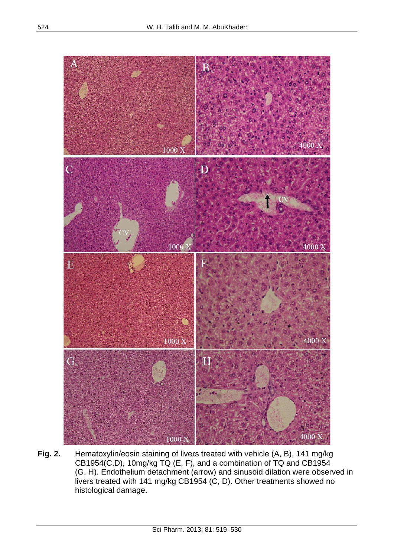

**Fig. 2.** Hematoxylin/eosin staining of livers treated with vehicle (A, B), 141 mg/kg CB1954(C,D), 10mg/kg TQ (E, F), and a combination of TQ and CB1954 (G, H). Endothelium detachment (arrow) and sinusoid dilation were observed in livers treated with 141 mg/kg CB1954 (C, D). Other treatments showed no histological damage.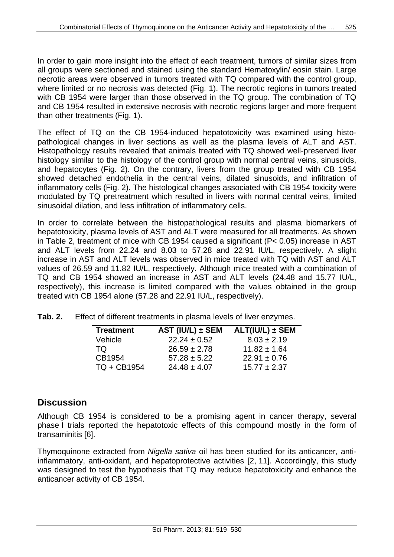In order to gain more insight into the effect of each treatment, tumors of similar sizes from all groups were sectioned and stained using the standard Hematoxylin/ eosin stain. Large necrotic areas were observed in tumors treated with TQ compared with the control group, where limited or no necrosis was detected (Fig. 1). The necrotic regions in tumors treated with CB 1954 were larger than those observed in the TQ group. The combination of TQ and CB 1954 resulted in extensive necrosis with necrotic regions larger and more frequent than other treatments (Fig. 1).

The effect of TQ on the CB 1954-induced hepatotoxicity was examined using histopathological changes in liver sections as well as the plasma levels of ALT and AST. Histopathology results revealed that animals treated with TQ showed well-preserved liver histology similar to the histology of the control group with normal central veins, sinusoids, and hepatocytes (Fig. 2). On the contrary, livers from the group treated with CB 1954 showed detached endothelia in the central veins, dilated sinusoids, and infiltration of inflammatory cells (Fig. 2). The histological changes associated with CB 1954 toxicity were modulated by TQ pretreatment which resulted in livers with normal central veins, limited sinusoidal dilation, and less infiltration of inflammatory cells.

In order to correlate between the histopathological results and plasma biomarkers of hepatotoxicity, plasma levels of AST and ALT were measured for all treatments. As shown in Table 2, treatment of mice with CB 1954 caused a significant (P< 0.05) increase in AST and ALT levels from 22.24 and 8.03 to 57.28 and 22.91 IU/L, respectively. A slight increase in AST and ALT levels was observed in mice treated with TQ with AST and ALT values of 26.59 and 11.82 IU/L, respectively. Although mice treated with a combination of TQ and CB 1954 showed an increase in AST and ALT levels (24.48 and 15.77 IU/L, respectively), this increase is limited compared with the values obtained in the group treated with CB 1954 alone (57.28 and 22.91 IU/L, respectively).

| <b>Treatment</b> | AST (IU/L) ± SEM | $ALT(IU/L) \pm SEM$ |
|------------------|------------------|---------------------|
| Vehicle          | $22.24 \pm 0.52$ | $8.03 \pm 2.19$     |
| TQ.              | $26.59 \pm 2.78$ | $11.82 \pm 1.64$    |
| CB1954           | $57.28 \pm 5.22$ | $22.91 \pm 0.76$    |
| TQ + CB1954      | $24.48 \pm 4.07$ | $15.77 \pm 2.37$    |

**Tab. 2.** Effect of different treatments in plasma levels of liver enzymes.

# **Discussion**

Although CB 1954 is considered to be a promising agent in cancer therapy, several phase I trials reported the hepatotoxic effects of this compound mostly in the form of transaminitis [6].

Thymoquinone extracted from *Nigella sativa* oil has been studied for its anticancer, antiinflammatory, anti-oxidant, and hepatoprotective activities [2, 11]. Accordingly, this study was designed to test the hypothesis that TQ may reduce hepatotoxicity and enhance the anticancer activity of CB 1954.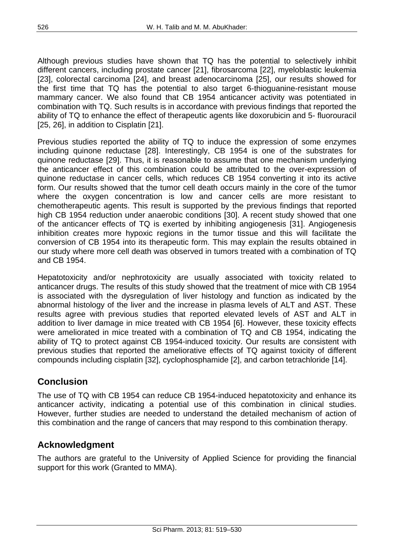Although previous studies have shown that TQ has the potential to selectively inhibit different cancers, including prostate cancer [21], fibrosarcoma [22], myeloblastic leukemia [23], colorectal carcinoma [24], and breast adenocarcinoma [25], our results showed for the first time that TQ has the potential to also target 6-thioguanine-resistant mouse mammary cancer. We also found that CB 1954 anticancer activity was potentiated in combination with TQ. Such results is in accordance with previous findings that reported the ability of TQ to enhance the effect of therapeutic agents like doxorubicin and 5- fluorouracil [25, 26], in addition to Cisplatin [21].

Previous studies reported the ability of TQ to induce the expression of some enzymes including quinone reductase [28]. Interestingly, CB 1954 is one of the substrates for quinone reductase [29]. Thus, it is reasonable to assume that one mechanism underlying the anticancer effect of this combination could be attributed to the over-expression of quinone reductase in cancer cells, which reduces CB 1954 converting it into its active form. Our results showed that the tumor cell death occurs mainly in the core of the tumor where the oxygen concentration is low and cancer cells are more resistant to chemotherapeutic agents. This result is supported by the previous findings that reported high CB 1954 reduction under anaerobic conditions [30]. A recent study showed that one of the anticancer effects of TQ is exerted by inhibiting angiogenesis [31]. Angiogenesis inhibition creates more hypoxic regions in the tumor tissue and this will facilitate the conversion of CB 1954 into its therapeutic form. This may explain the results obtained in our study where more cell death was observed in tumors treated with a combination of TQ and CB 1954.

Hepatotoxicity and/or nephrotoxicity are usually associated with toxicity related to anticancer drugs. The results of this study showed that the treatment of mice with CB 1954 is associated with the dysregulation of liver histology and function as indicated by the abnormal histology of the liver and the increase in plasma levels of ALT and AST. These results agree with previous studies that reported elevated levels of AST and ALT in addition to liver damage in mice treated with CB 1954 [6]. However, these toxicity effects were ameliorated in mice treated with a combination of TQ and CB 1954, indicating the ability of TQ to protect against CB 1954-induced toxicity. Our results are consistent with previous studies that reported the ameliorative effects of TQ against toxicity of different compounds including cisplatin [32], cyclophosphamide [2], and carbon tetrachloride [14].

# **Conclusion**

The use of TQ with CB 1954 can reduce CB 1954-induced hepatotoxicity and enhance its anticancer activity, indicating a potential use of this combination in clinical studies. However, further studies are needed to understand the detailed mechanism of action of this combination and the range of cancers that may respond to this combination therapy.

# **Acknowledgment**

The authors are grateful to the University of Applied Science for providing the financial support for this work (Granted to MMA).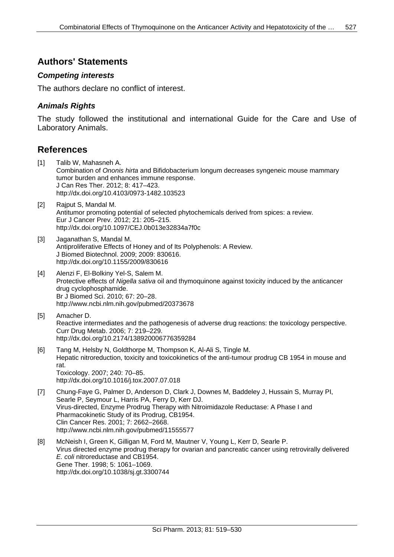## **Authors' Statements**

#### *Competing interests*

The authors declare no conflict of interest.

#### *Animals Rights*

The study followed the institutional and international Guide for the Care and Use of Laboratory Animals.

## **References**

- [1] Talib W, Mahasneh A. Combination of *Ononis hirta* and Bifidobacterium longum decreases syngeneic mouse mammary tumor burden and enhances immune response. J Can Res Ther. 2012; 8: 417–423. <http://dx.doi.org/10.4103/0973-1482.103523>
- [2] [Rajput S,](http://www.ncbi.nlm.nih.gov/pubmed?term=Rajput%20S%5BAuthor%5D&cauthor=true&cauthor_uid=21876437) [Mandal M.](http://www.ncbi.nlm.nih.gov/pubmed?term=Mandal%20M%5BAuthor%5D&cauthor=true&cauthor_uid=21876437) Antitumor promoting potential of selected phytochemicals derived from spices: a review. [Eur J Cancer Prev.](http://www.ncbi.nlm.nih.gov/pubmed?term=antitumor%20promoting%20potential%20of%20selected%20phytochemicals%20derived%20from%20spices) 2012; 21: 205–215. <http://dx.doi.org/10.1097/CEJ.0b013e32834a7f0c>
- [3] Jaganathan S, Mandal M. Antiproliferative Effects of Honey and of Its Polyphenols: A Review. J Biomed Biotechnol. 2009; 2009: 830616. <http://dx.doi.org/10.1155/2009/830616>
- [4] Alenzi F, El-Bolkiny Yel-S, Salem M. Protective effects of *Nigella sativa* oil and thymoquinone against toxicity induced by the anticancer drug cyclophosphamide. Br J Biomed Sci. 2010; 67: 20–28. <http://www.ncbi.nlm.nih.gov/pubmed/20373678>
- [5] Amacher D. Reactive intermediates and the pathogenesis of adverse drug reactions: the toxicology perspective. Curr Drug Metab. 2006; 7: 219–229. <http://dx.doi.org/10.2174/138920006776359284>
- [6] Tang M, Helsby N, Goldthorpe M, Thompson K, Al-Ali S, Tingle M. Hepatic nitroreduction, toxicity and toxicokinetics of the anti-tumour prodrug CB 1954 in mouse and rat. Toxicology. 2007; 240: 70–85. <http://dx.doi.org/10.1016/j.tox.2007.07.018>
- [7] Chung-Faye G, Palmer D, Anderson D, Clark J, Downes M, Baddeley J, Hussain S, Murray PI, Searle P, Seymour L, Harris PA, Ferry D, Kerr DJ. Virus-directed, Enzyme Prodrug Therapy with Nitroimidazole Reductase: A Phase I and Pharmacokinetic Study of its Prodrug, CB1954. Clin Cancer Res. 2001; 7: 2662–2668. <http://www.ncbi.nlm.nih.gov/pubmed/11555577>
- [8] McNeish I, Green K, Gilligan M, Ford M, Mautner V, Young L, Kerr D, Searle P. Virus directed enzyme prodrug therapy for ovarian and pancreatic cancer using retrovirally delivered *E. coli* nitroreductase and CB1954. Gene Ther. 1998; 5: 1061–1069. <http://dx.doi.org/10.1038/sj.gt.3300744>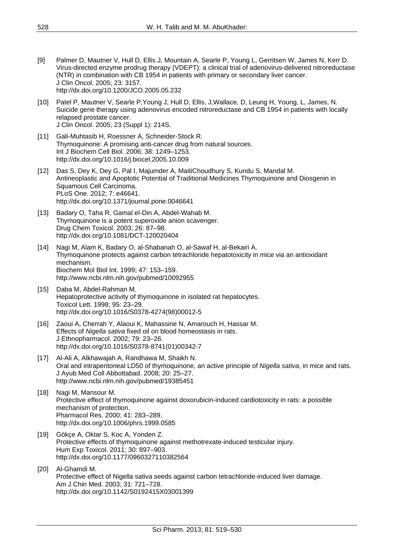- [9] Palmer D, Mautner V, Hull D, Ellis J, Mountain A, Searle P, Young L, Gerritsen W, James N, Kerr D. Virus-directed enzyme prodrug therapy (VDEPT): a clinical trial of adenovirus-delivered nitroreductase (NTR) in combination with CB 1954 in patients with primary or secondary liver cancer. J Clin Oncol. 2005; 23: 3157. <http://dx.doi.org/10.1200/JCO.2005.05.232>
- [10] Patel P, Mautner V, Searle P,Young J, Hull D, Ellis, J,Wallace, D, Leung H, Young, L, James, N. Suicide gene therapy using adenovirus encoded nitroreductase and CB 1954 in patients with locally relapsed prostate cancer. J Clin Oncol. 2005; 23 (Suppl 1): 214S.
- [11] Gali-Muhtasib H, Roessner A, Schneider-Stock R. Thymoquinone: A promising anti-cancer drug from natural sources. Int J Biochem Cell Biol. 2006; 38: 1249–1253. <http://dx.doi.org/10.1016/j.biocel.2005.10.009>
- [12] Das S, Dey K, Dey G, Pal I, Majumder A, MaitiChoudhury S, Kundu S, Mandal M. Antineoplastic and Apoptotic Potential of Traditional Medicines Thymoquinone and Diosgenin in Squamous Cell Carcinoma. PLoS One. 2012; 7: e46641. <http://dx.doi.org/10.1371/journal.pone.0046641>
- [13] Badary O, Taha R, Gamal el-Din A, Abdel-Wahab M. Thymoquinone is a potent superoxide anion scavenger. Drug Chem Toxicol. 2003; 26: 87–98. <http://dx.doi.org/10.1081/DCT-120020404>
- [14] Nagi M, Alam K, Badary O, al-Shabanah O, al-Sawaf H, al-Bekairi A. Thymoquinone protects against carbon tetrachloride hepatotoxicity in mice via an antioxidant mechanism. Biochem Mol Biol Int. 1999; 47: 153–159. <http://www.ncbi.nlm.nih.gov/pubmed/10092955>
- [15] Daba M, Abdel-Rahman M. Hepatoprotective activity of thymoquinone in isolated rat hepatocytes. Toxicol Lett. 1998; 95: 23–29. [http://dx.doi.org/10.1016/S0378-4274\(98\)00012-5](http://dx.doi.org/10.1016/S0378-4274(98)00012-5)
- [16] Zaoui A, Cherrah Y, Alaoui K, Mahassine N, Amarouch H, Hassar M. Effects of *Nigella sativa* fixed oil on blood homeostasis in rats. J Ethnopharmacol. 2002; 79: 23–26. [http://dx.doi.org/10.1016/S0378-8741\(01\)00342-7](http://dx.doi.org/10.1016/S0378-8741(01)00342-7)
- [17] Al-Ali A, Alkhawajah A, Randhawa M, Shaikh N. Oral and intraperitoneal LD50 of thymoquinone, an active principle of *Nigella sativa*, in mice and rats. J Ayub Med Coll Abbottabad. 2008; 20: 25–27. <http://www.ncbi.nlm.nih.gov/pubmed/19385451>
- [18] [Nagi M,](http://www.ncbi.nlm.nih.gov/pubmed?term=Nagi%20MN%5BAuthor%5D&cauthor=true&cauthor_uid=10675279) [Mansour M.](http://www.ncbi.nlm.nih.gov/pubmed?term=Mansour%20MA%5BAuthor%5D&cauthor=true&cauthor_uid=10675279) Protective effect of thymoquinone against doxorubicin-induced cardiotoxicity in rats: a possible mechanism of protection. [Pharmacol Res.](http://www.ncbi.nlm.nih.gov/pubmed/10675279) 2000; 41: 283–289. <http://dx.doi.org/10.1006/phrs.1999.0585>
- [19] [Gökçe A,](http://www.ncbi.nlm.nih.gov/pubmed?term=G%C3%B6k%C3%A7e%20A%5BAuthor%5D&cauthor=true&cauthor_uid=20813795) [Oktar S,](http://www.ncbi.nlm.nih.gov/pubmed?term=Oktar%20S%5BAuthor%5D&cauthor=true&cauthor_uid=20813795) [Koc A,](http://www.ncbi.nlm.nih.gov/pubmed?term=Koc%20A%5BAuthor%5D&cauthor=true&cauthor_uid=20813795) [Yonden Z.](http://www.ncbi.nlm.nih.gov/pubmed?term=Yonden%20Z%5BAuthor%5D&cauthor=true&cauthor_uid=20813795) Protective effects of thymoquinone against methotrexate-induced testicular injury. [Hum Exp Toxicol.](http://www.ncbi.nlm.nih.gov/pubmed/20813795) 2011; 30: 897–903. <http://dx.doi.org/10.1177/0960327110382564>
- [20] [Al-Ghamdi M.](http://www.ncbi.nlm.nih.gov/pubmed?term=Al-Ghamdi%20MS%5BAuthor%5D&cauthor=true&cauthor_uid=14696675) Protective effect of Nigella sativa seeds against carbon tetrachloride-induced liver damage. [Am J Chin Med.](http://www.ncbi.nlm.nih.gov/pubmed/14696675) 2003; 31: 721–728. <http://dx.doi.org/10.1142/S0192415X03001399>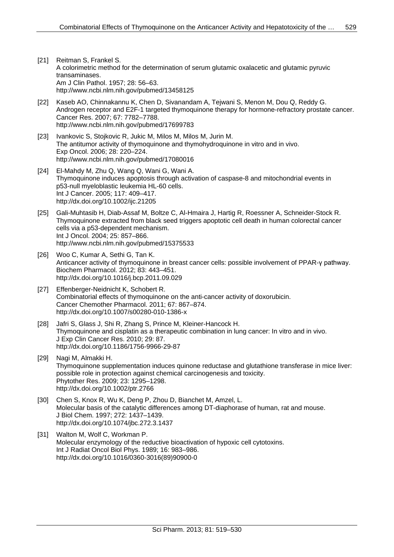- [21] Reitman S, Frankel S. A colorimetric method for the determination of serum glutamic oxalacetic and glutamic pyruvic transaminases. Am J Clin Pathol. 1957; 28: 56–63. <http://www.ncbi.nlm.nih.gov/pubmed/13458125>
- [22] Kaseb AO, Chinnakannu K, Chen D, Sivanandam A, Tejwani S, Menon M, Dou Q, Reddy G. Androgen receptor and E2F-1 targeted thymoquinone therapy for hormone-refractory prostate cancer. Cancer Res. 2007; 67: 7782–7788. <http://www.ncbi.nlm.nih.gov/pubmed/17699783>
- [23] Ivankovic S, Stojkovic R, Jukic M, Milos M, Milos M, Jurin M. The antitumor activity of thymoquinone and thymohydroquinone in vitro and in vivo. Exp Oncol. 2006; 28: 220–224. <http://www.ncbi.nlm.nih.gov/pubmed/17080016>
- [24] El-Mahdy M, Zhu Q, Wang Q, Wani G, Wani A. Thymoquinone induces apoptosis through activation of caspase-8 and mitochondrial events in p53-null myeloblastic leukemia HL-60 cells. Int J Cancer. 2005; 117: 409–417. <http://dx.doi.org/10.1002/ijc.21205>
- [25] Gali-Muhtasib H, Diab-Assaf M, Boltze C, Al-Hmaira J, Hartig R, Roessner A, Schneider-Stock R. Thymoquinone extracted from black seed triggers apoptotic cell death in human colorectal cancer cells via a p53-dependent mechanism. Int J Oncol. 2004; 25: 857–866. <http://www.ncbi.nlm.nih.gov/pubmed/15375533>
- [26] Woo C, Kumar A, Sethi G, Tan K. Anticancer activity of thymoquinone in breast cancer cells: possible involvement of PPAR-γ pathway. Biochem Pharmacol. 2012; 83: 443–451. <http://dx.doi.org/10.1016/j.bcp.2011.09.029>
- [27] Effenberger-Neidnicht K, Schobert R. Combinatorial effects of thymoquinone on the anti-cancer activity of doxorubicin. Cancer Chemother Pharmacol. 2011; 67: 867–874. <http://dx.doi.org/10.1007/s00280-010-1386-x>
- [28] Jafri S, Glass J, Shi R, Zhang S, Prince M, Kleiner-Hancock H. Thymoquinone and cisplatin as a therapeutic combination in lung cancer: In vitro and in vivo. J Exp Clin Cancer Res. 2010; 29: 87. <http://dx.doi.org/10.1186/1756-9966-29-87>
- [29] Nagi M, Almakki H. Thymoquinone supplementation induces quinone reductase and glutathione transferase in mice liver: possible role in protection against chemical carcinogenesis and toxicity. Phytother Res. 2009; 23: 1295–1298. <http://dx.doi.org/10.1002/ptr.2766>
- [30] Chen S, Knox R, Wu K, Deng P, Zhou D, Bianchet M, Amzel, L. Molecular basis of the catalytic differences among DT-diaphorase of human, rat and mouse. J Biol Chem. 1997; 272: 1437–1439. <http://dx.doi.org/10.1074/jbc.272.3.1437>
- [31] Walton M, Wolf C, Workman P. Molecular enzymology of the reductive bioactivation of hypoxic cell cytotoxins. Int J Radiat Oncol Biol Phys. 1989; 16: 983–986. [http://dx.doi.org/10.1016/0360-3016\(89\)90900-0](http://dx.doi.org/10.1016/0360-3016(89)90900-0)